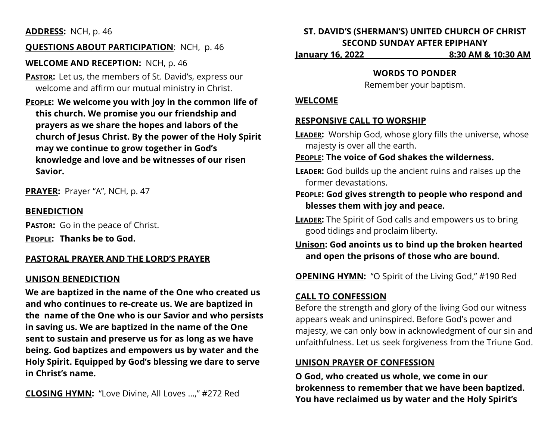## **ADDRESS:** NCH, p. 46

## **QUESTIONS ABOUT PARTICIPATION**: NCH, p. 46

**WELCOME AND RECEPTION:** NCH, p. 46

**PASTOR:** Let us, the members of St. David's, express our welcome and affirm our mutual ministry in Christ.

**PEOPLE: We welcome you with joy in the common life of this church. We promise you our friendship and prayers as we share the hopes and labors of the church of Jesus Christ. By the power of the Holy Spirit may we continue to grow together in God's knowledge and love and be witnesses of our risen Savior.**

**PRAYER:** Prayer "A", NCH, p. 47

## **BENEDICTION**

**PASTOR:** Go in the peace of Christ. **PEOPLE: Thanks be to God.**

### **PASTORAL PRAYER AND THE LORD'S PRAYER**

### **UNISON BENEDICTION**

**We are baptized in the name of the One who created us and who continues to re-create us. We are baptized in the name of the One who is our Savior and who persists in saving us. We are baptized in the name of the One sent to sustain and preserve us for as long as we have being. God baptizes and empowers us by water and the Holy Spirit. Equipped by God's blessing we dare to serve in Christ's name.**

**CLOSING HYMN:** "Love Divine, All Loves …," #272 Red

# **ST. DAVID'S (SHERMAN'S) UNITED CHURCH OF CHRIST SECOND SUNDAY AFTER EPIPHANY**

**January 16, 2022 8:30 AM & 10:30 AM**

### **WORDS TO PONDER**

Remember your baptism.

#### **WELCOME**

## **RESPONSIVE CALL TO WORSHIP**

- **LEADER:** Worship God, whose glory fills the universe, whose majesty is over all the earth.
- **PEOPLE: The voice of God shakes the wilderness.**
- **LEADER:** God builds up the ancient ruins and raises up the former devastations.
- **PEOPLE: God gives strength to people who respond and blesses them with joy and peace.**
- **LEADER:** The Spirit of God calls and empowers us to bring good tidings and proclaim liberty.
- **Unison: God anoints us to bind up the broken hearted and open the prisons of those who are bound.**

**OPENING HYMN:** "O Spirit of the Living God," #190 Red

## **CALL TO CONFESSION**

Before the strength and glory of the living God our witness appears weak and uninspired. Before God's power and majesty, we can only bow in acknowledgment of our sin and unfaithfulness. Let us seek forgiveness from the Triune God.

## **UNISON PRAYER OF CONFESSION**

**O God, who created us whole, we come in our brokenness to remember that we have been baptized. You have reclaimed us by water and the Holy Spirit's**